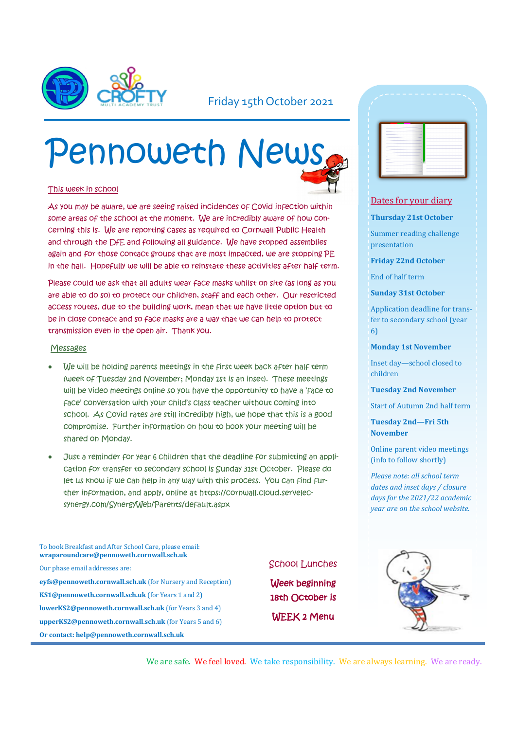

### Friday 15th October 2021

# Pennoweth News

#### This week in school

As you may be aware, we are seeing raised incidences of Covid infection within some areas of the school at the moment. We are incredibly aware of how concerning this is. We are reporting cases as required to Cornwall Public Health and through the DfE and following all guidance. We have stopped assemblies again and for those contact groups that are most impacted, we are stopping PE in the hall. Hopefully we will be able to reinstate these activities after half term.

Please could we ask that all adults wear face masks whilst on site (as long as you are able to do so) to protect our children, staff and each other. Our restricted access routes, due to the building work, mean that we have little option but to be in close contact and so face masks are a way that we can help to protect transmission even in the open air. Thank you.

#### Messages

- We will be holding parents meetings in the first week back after half term (week of Tuesday 2nd November; Monday 1st is an inset). These meetings will be video meetings online so you have the opportunity to have a 'face to face' conversation with your child's class teacher without coming into school. As Covid rates are still incredibly high, we hope that this is a good compromise. Further information on how to book your meeting will be shared on Monday.
- Just a reminder for year 6 children that the deadline for submitting an application for transfer to secondary school is Sunday 31st October. Please do let us know if we can help in any way with this process. You can find further information, and apply, online at https://cornwall.cloud.servelecsynergy.com/SynergyWeb/Parents/default.aspx

To book Breakfast and After School Care, please email: **wraparoundcare@pennoweth.cornwall.sch.uk** Our phase email addresses are: **eyfs@pennoweth.cornwall.sch.uk** (for Nursery and Reception) **KS1@pennoweth.cornwall.sch.uk** (for Years 1 and 2) **lowerKS2@pennoweth.cornwall.sch.uk** (for Years 3 and 4) **upperKS2@pennoweth.cornwall.sch.uk** (for Years 5 and 6) **Or contact: help@pennoweth.cornwall.sch.uk**



Week beginning 18th October is WEEK 2 Menu

|              |        | $\sim$ |  |
|--------------|--------|--------|--|
|              |        |        |  |
|              |        |        |  |
|              |        |        |  |
|              |        |        |  |
|              | ÷      |        |  |
|              | ÷      |        |  |
|              | - 1    |        |  |
| <b>STATE</b> | $\sim$ |        |  |
|              | -<br>÷ |        |  |
|              | - 1    |        |  |
|              | -      |        |  |
|              | ÷      |        |  |
|              | -      |        |  |
|              |        |        |  |

#### Dates for your diary

#### **Thursday 21st October**

Summer reading challenge presentation

**Friday 22nd October**

End of half term

#### **Sunday 31st October**

Application deadline for transfer to secondary school (year 6)

#### **Monday 1st November**

Inset day—school closed to children

**Tuesday 2nd November**

Start of Autumn 2nd half term

**Tuesday 2nd—Fri 5th November**

Online parent video meetings (info to follow shortly)

*Please note: all school term dates and inset days / closure days for the 2021/22 academic year are on the school website.* 



We are safe. We feel loved. We take responsibility. We are always learning. We are ready.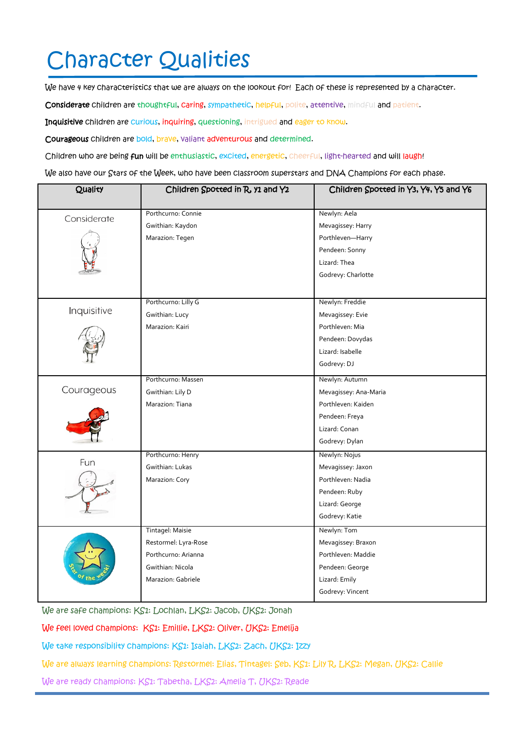# Character Qualities

We have 4 key characteristics that we are always on the lookout for! Each of these is represented by a character.

Considerate children are thoughtful, caring, sympathetic, helpful, polite, attentive, mindful and patient.

Inquisitive children are curious, inquiring, questioning, intrigued and eager to know.

Courageous children are bold, brave, valiant adventurous and determined.

Children who are being fun will be enthusiastic, excited, energetic, cheerful, light-hearted and will laugh!

We also have our Stars of the Week, who have been classroom superstars and DNA Champions for each phase.

| Quality     | Children Spotted in R, y1 and Y2 | Children Spotted in Y3, Y4, Y5 and Y6 |
|-------------|----------------------------------|---------------------------------------|
|             | Porthcurno: Connie               | Newlyn: Aela                          |
| Considerate | Gwithian: Kaydon                 | Mevagissey: Harry                     |
|             | Marazion: Tegen                  | Porthleven-Harry                      |
|             |                                  | Pendeen: Sonny                        |
|             |                                  | Lizard: Thea                          |
|             |                                  | Godrevy: Charlotte                    |
|             |                                  |                                       |
| Inquisitive | Porthcurno: Lilly G              | Newlyn: Freddie                       |
|             | Gwithian: Lucy                   | Mevagissey: Evie                      |
|             | Marazion: Kairi                  | Porthleven: Mia                       |
|             |                                  | Pendeen: Dovydas                      |
|             |                                  | Lizard: Isabelle                      |
|             |                                  | Godrevy: DJ                           |
| Courageous  | Porthcurno: Massen               | Newlyn: Autumn                        |
|             | Gwithian: Lily D                 | Mevagissey: Ana-Maria                 |
|             | Marazion: Tiana                  | Porthleven: Kaiden                    |
|             |                                  | Pendeen: Freya                        |
|             |                                  | Lizard: Conan                         |
|             |                                  | Godrevy: Dylan                        |
| Fun         | Porthcurno: Henry                | Newlyn: Nojus                         |
|             | Gwithian: Lukas                  | Mevagissey: Jaxon                     |
|             | Marazion: Cory                   | Porthleven: Nadia                     |
|             |                                  | Pendeen: Ruby                         |
|             |                                  | Lizard: George                        |
|             |                                  | Godrevy: Katie                        |
|             | Tintagel: Maisie                 | Newlyn: Tom                           |
|             | Restormel: Lyra-Rose             | Mevagissey: Braxon                    |
|             | Porthcurno: Arianna              | Porthleven: Maddie                    |
|             | Gwithian: Nicola                 | Pendeen: George                       |
|             | Marazion: Gabriele               | Lizard: Emily                         |
|             |                                  | Godrevy: Vincent                      |

We are safe champions: KS1: Lochlan, LKS2: Jacob, UKS2: Jonah

We feel loved champions: KS1: Emillie, LKS2: Oliver, UKS2: Emelija

We take responsibility champions: KS1: Isaiah, LKS2: Zach, UKS2: Izzy

We are always learning champions: Restormel: Elias, Tintagel: Seb, KS1: Lily R, LKS2: Megan, UKS2: Callie

We are ready champions: KS1: Tabetha, LKS2: Amelia T, UKS2: Reade